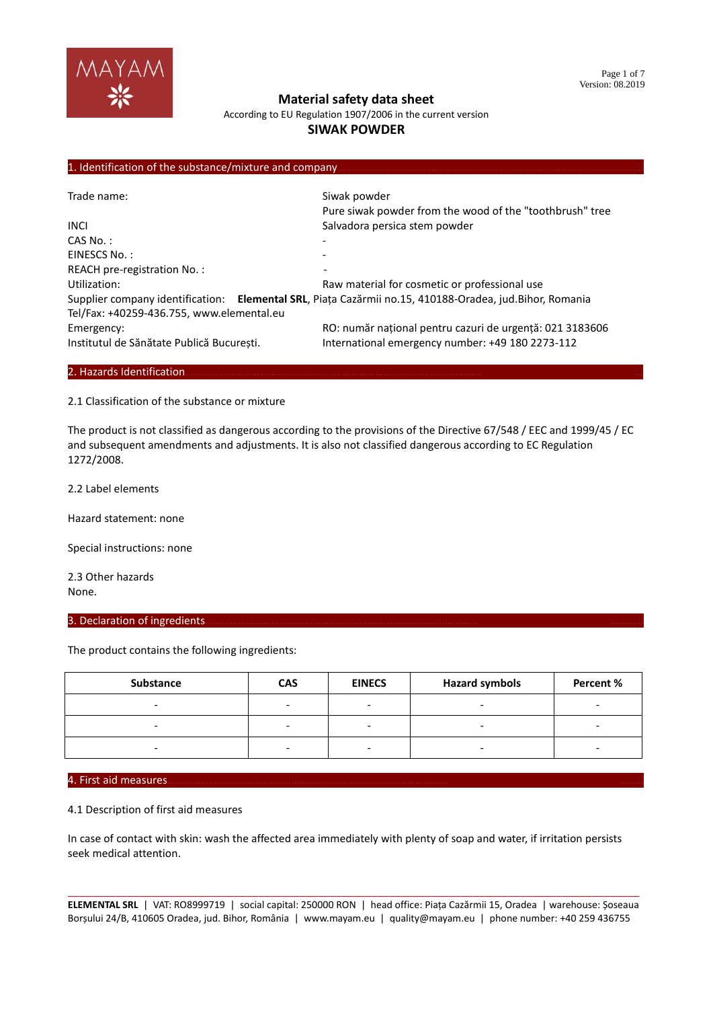

According to EU Regulation 1907/2006 in the current version

## **SIWAK POWDER**

#### 1. Identification of the substance/mixture and company

| Trade name:                               | Siwak powder                                                                                             |  |  |  |
|-------------------------------------------|----------------------------------------------------------------------------------------------------------|--|--|--|
|                                           | Pure siwak powder from the wood of the "toothbrush" tree                                                 |  |  |  |
| <b>INCI</b>                               | Salvadora persica stem powder                                                                            |  |  |  |
| $CAS No.$ :                               |                                                                                                          |  |  |  |
| EINESCS No.:                              |                                                                                                          |  |  |  |
| REACH pre-registration No.:               | $\qquad \qquad \blacksquare$                                                                             |  |  |  |
| Utilization:                              | Raw material for cosmetic or professional use                                                            |  |  |  |
|                                           | Supplier company identification: Elemental SRL, Piața Cazărmii no.15, 410188-Oradea, jud. Bihor, Romania |  |  |  |
| Tel/Fax: +40259-436.755, www.elemental.eu |                                                                                                          |  |  |  |
| Emergency:                                | RO: număr național pentru cazuri de urgență: 021 3183606                                                 |  |  |  |
| Institutul de Sănătate Publică București. | International emergency number: +49 180 2273-112                                                         |  |  |  |

### 2. Hazards Identification.

2.1 Classification of the substance or mixture

The product is not classified as dangerous according to the provisions of the Directive 67/548 / EEC and 1999/45 / EC and subsequent amendments and adjustments. It is also not classified dangerous according to EC Regulation 1272/2008.

2.2 Label elements

Hazard statement: none

Special instructions: none

2.3 Other hazards None.

#### 3. Declaration of ingredients.

The product contains the following ingredients:

| Substance | <b>CAS</b> | <b>EINECS</b> | <b>Hazard symbols</b> | Percent % |
|-----------|------------|---------------|-----------------------|-----------|
|           |            | -             |                       |           |
|           | -          | -             |                       |           |
|           | -          | -             |                       | -         |

#### 4. First aid measures………………………………………………………………………………………… ………

4.1 Description of first aid measures

In case of contact with skin: wash the affected area immediately with plenty of soap and water, if irritation persists seek medical attention.

|                                                                                                                    |  |  | ELEMENTAL SRL   VAT: RO8999719   social capital: 250000 RON   head office: Piata Cazărmii 15, Oradea   warehouse: Soseaua |  |
|--------------------------------------------------------------------------------------------------------------------|--|--|---------------------------------------------------------------------------------------------------------------------------|--|
| Borșului 24/B, 410605 Oradea, jud. Bihor, România   www.mayam.eu   quality@mayam.eu   phone number: +40 259 436755 |  |  |                                                                                                                           |  |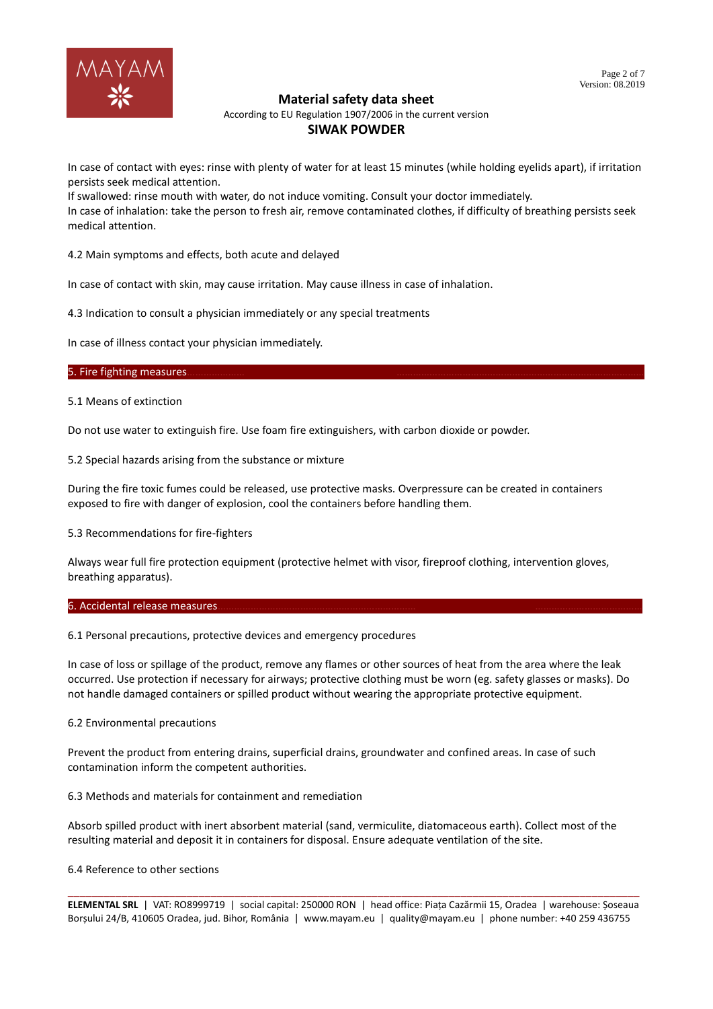

According to EU Regulation 1907/2006 in the current version

## **SIWAK POWDER**

In case of contact with eyes: rinse with plenty of water for at least 15 minutes (while holding eyelids apart), if irritation persists seek medical attention.

If swallowed: rinse mouth with water, do not induce vomiting. Consult your doctor immediately. In case of inhalation: take the person to fresh air, remove contaminated clothes, if difficulty of breathing persists seek medical attention.

4.2 Main symptoms and effects, both acute and delayed

In case of contact with skin, may cause irritation. May cause illness in case of inhalation.

4.3 Indication to consult a physician immediately or any special treatments

In case of illness contact your physician immediately.

#### 5. Fire fighting measures.

5.1 Means of extinction

Do not use water to extinguish fire. Use foam fire extinguishers, with carbon dioxide or powder.

5.2 Special hazards arising from the substance or mixture

During the fire toxic fumes could be released, use protective masks. Overpressure can be created in containers exposed to fire with danger of explosion, cool the containers before handling them.

5.3 Recommendations for fire-fighters

Always wear full fire protection equipment (protective helmet with visor, fireproof clothing, intervention gloves, breathing apparatus).

#### 6. Accidental release measures.

6.1 Personal precautions, protective devices and emergency procedures

In case of loss or spillage of the product, remove any flames or other sources of heat from the area where the leak occurred. Use protection if necessary for airways; protective clothing must be worn (eg. safety glasses or masks). Do not handle damaged containers or spilled product without wearing the appropriate protective equipment.

#### 6.2 Environmental precautions

Prevent the product from entering drains, superficial drains, groundwater and confined areas. In case of such contamination inform the competent authorities.

6.3 Methods and materials for containment and remediation

Absorb spilled product with inert absorbent material (sand, vermiculite, diatomaceous earth). Collect most of the resulting material and deposit it in containers for disposal. Ensure adequate ventilation of the site.

### 6.4 Reference to other sections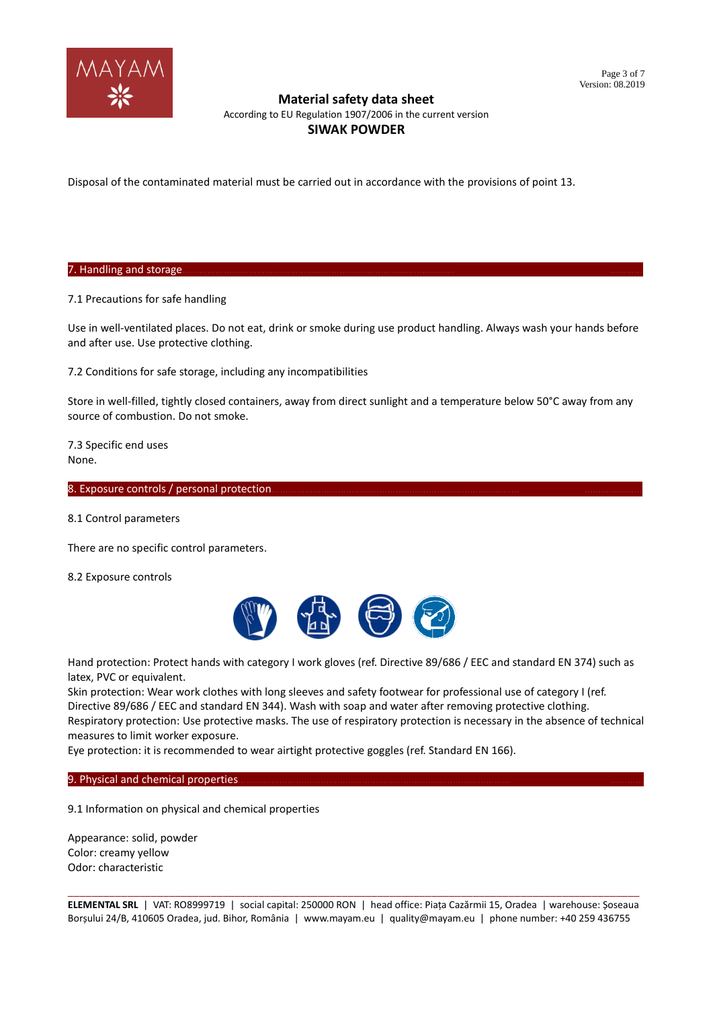

According to EU Regulation 1907/2006 in the current version

## **SIWAK POWDER**

Disposal of the contaminated material must be carried out in accordance with the provisions of point 13.

7. Handling and storage.

7.1 Precautions for safe handling

Use in well-ventilated places. Do not eat, drink or smoke during use product handling. Always wash your hands before and after use. Use protective clothing.

7.2 Conditions for safe storage, including any incompatibilities

Store in well-filled, tightly closed containers, away from direct sunlight and a temperature below 50°C away from any source of combustion. Do not smoke.

7.3 Specific end uses None.

8. Exposure controls / personal protection.

8.1 Control parameters

There are no specific control parameters.

8.2 Exposure controls



Hand protection: Protect hands with category I work gloves (ref. Directive 89/686 / EEC and standard EN 374) such as latex, PVC or equivalent.

Skin protection: Wear work clothes with long sleeves and safety footwear for professional use of category I (ref. Directive 89/686 / EEC and standard EN 344). Wash with soap and water after removing protective clothing.

Respiratory protection: Use protective masks. The use of respiratory protection is necessary in the absence of technical measures to limit worker exposure.

Eye protection: it is recommended to wear airtight protective goggles (ref. Standard EN 166).

9. Physical and chemical properties.

9.1 Information on physical and chemical properties

Appearance: solid, powder Color: creamy yellow Odor: characteristic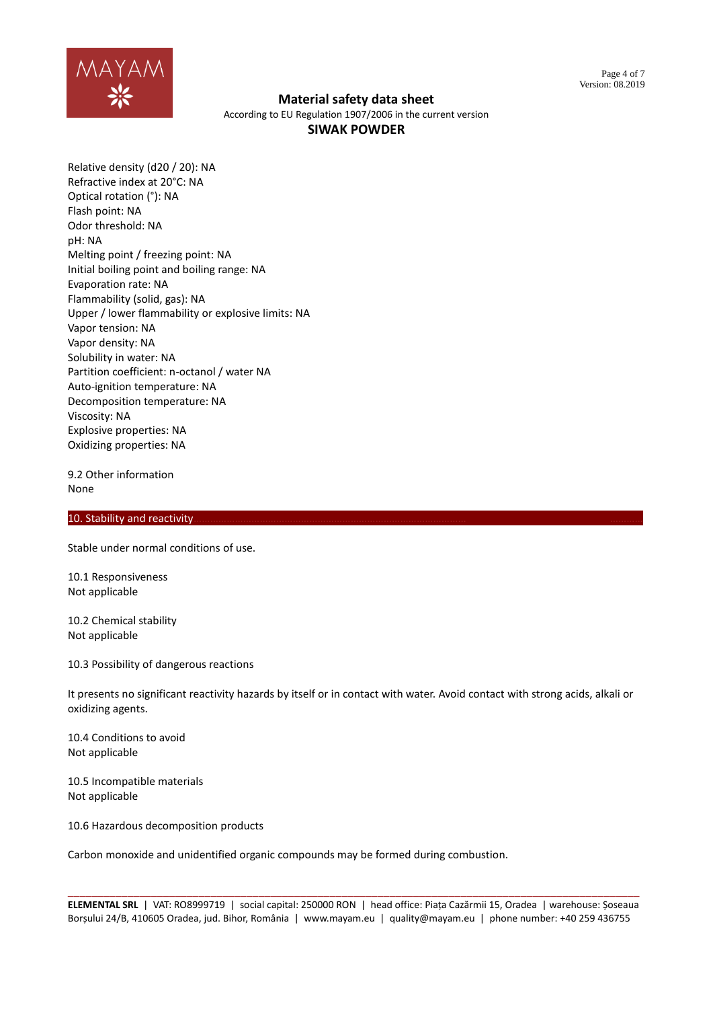

According to EU Regulation 1907/2006 in the current version

# **SIWAK POWDER**

Relative density (d20 / 20): NA Refractive index at 20°C: NA Optical rotation (°): NA Flash point: NA Odor threshold: NA pH: NA Melting point / freezing point: NA Initial boiling point and boiling range: NA Evaporation rate: NA Flammability (solid, gas): NA Upper / lower flammability or explosive limits: NA Vapor tension: NA Vapor density: NA Solubility in water: NA Partition coefficient: n-octanol / water NA Auto-ignition temperature: NA Decomposition temperature: NA Viscosity: NA Explosive properties: NA Oxidizing properties: NA

9.2 Other information None

### 10. Stability and reactivity

Stable under normal conditions of use.

10.1 Responsiveness Not applicable

10.2 Chemical stability Not applicable

10.3 Possibility of dangerous reactions

It presents no significant reactivity hazards by itself or in contact with water. Avoid contact with strong acids, alkali or oxidizing agents.

10.4 Conditions to avoid Not applicable

10.5 Incompatible materials Not applicable

10.6 Hazardous decomposition products

Carbon monoxide and unidentified organic compounds may be formed during combustion.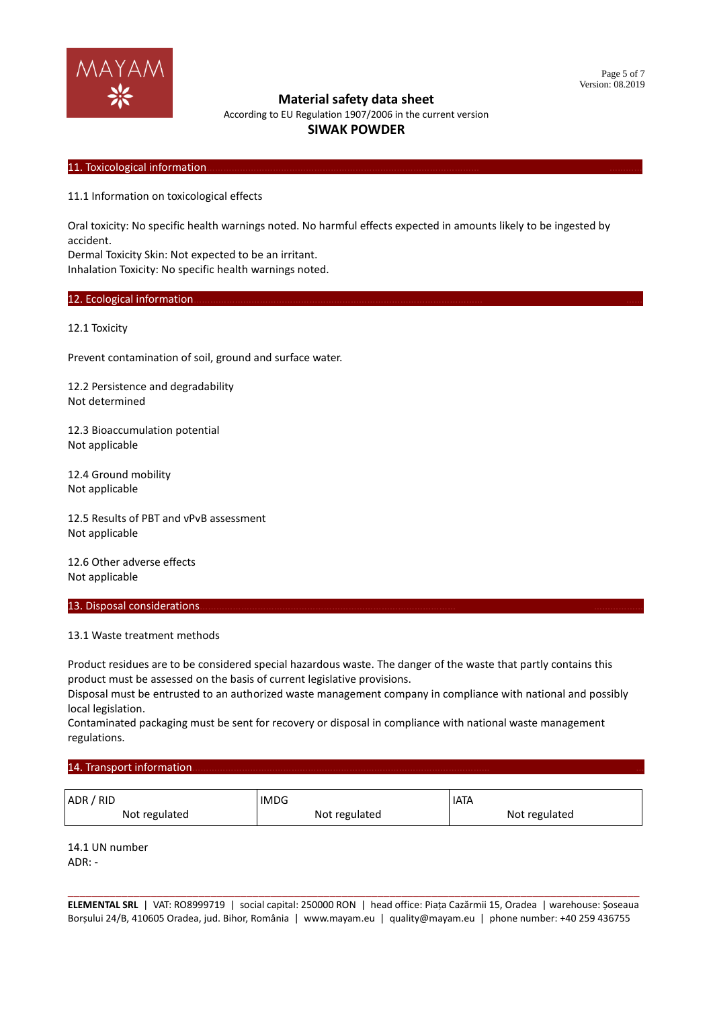

According to EU Regulation 1907/2006 in the current version

# **SIWAK POWDER**

### 11. Toxicological information

11.1 Information on toxicological effects

Oral toxicity: No specific health warnings noted. No harmful effects expected in amounts likely to be ingested by accident.

Dermal Toxicity Skin: Not expected to be an irritant.

Inhalation Toxicity: No specific health warnings noted.

#### 12. Ecological information.

12.1 Toxicity

Prevent contamination of soil, ground and surface water.

12.2 Persistence and degradability Not determined

12.3 Bioaccumulation potential Not applicable

12.4 Ground mobility Not applicable

12.5 Results of PBT and vPvB assessment Not applicable

12.6 Other adverse effects Not applicable

#### 13. Disposal considerations.

### 13.1 Waste treatment methods

Product residues are to be considered special hazardous waste. The danger of the waste that partly contains this product must be assessed on the basis of current legislative provisions.

Disposal must be entrusted to an authorized waste management company in compliance with national and possibly local legislation.

Contaminated packaging must be sent for recovery or disposal in compliance with national waste management regulations.

### 14. Transport information.

| ADR / RID     | <b>IMDG</b>   | <b>IATA</b>   |
|---------------|---------------|---------------|
| Not regulated | Not regulated | Not regulated |

14.1 UN number  $ADR^T -$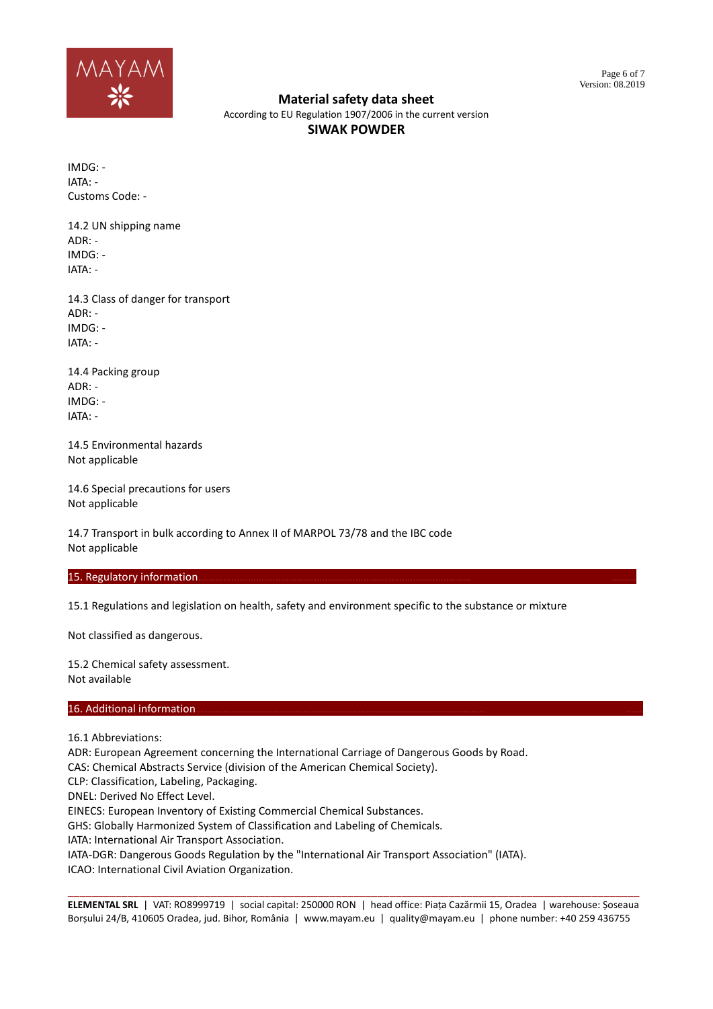

According to EU Regulation 1907/2006 in the current version

# **SIWAK POWDER**

IMDG: - IATA: - Customs Code: -

14.2 UN shipping name  $ADR$  $\cdot$  -IMDG: - IATA: -

14.3 Class of danger for transport ADR: - IMDG: - IATA: -

14.4 Packing group ADR: - IMDG: - IATA: -

14.5 Environmental hazards Not applicable

14.6 Special precautions for users Not applicable

14.7 Transport in bulk according to Annex II of MARPOL 73/78 and the IBC code Not applicable

### 15. Regulatory information

15.1 Regulations and legislation on health, safety and environment specific to the substance or mixture

Not classified as dangerous.

15.2 Chemical safety assessment. Not available

### 16. Additional information

16.1 Abbreviations:

ADR: European Agreement concerning the International Carriage of Dangerous Goods by Road.

CAS: Chemical Abstracts Service (division of the American Chemical Society).

CLP: Classification, Labeling, Packaging.

DNEL: Derived No Effect Level.

EINECS: European Inventory of Existing Commercial Chemical Substances.

GHS: Globally Harmonized System of Classification and Labeling of Chemicals.

IATA: International Air Transport Association.

IATA-DGR: Dangerous Goods Regulation by the "International Air Transport Association" (IATA).

ICAO: International Civil Aviation Organization.